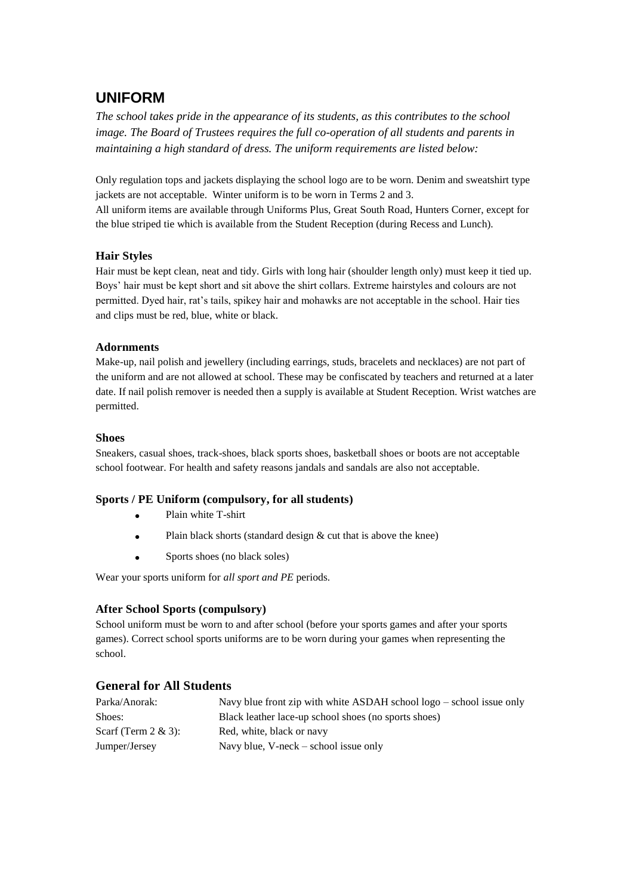## **UNIFORM**

*The school takes pride in the appearance of its students, as this contributes to the school image. The Board of Trustees requires the full co-operation of all students and parents in maintaining a high standard of dress. The uniform requirements are listed below:*

Only regulation tops and jackets displaying the school logo are to be worn. Denim and sweatshirt type jackets are not acceptable. Winter uniform is to be worn in Terms 2 and 3. All uniform items are available through Uniforms Plus, Great South Road, Hunters Corner, except for the blue striped tie which is available from the Student Reception (during Recess and Lunch).

### **Hair Styles**

Hair must be kept clean, neat and tidy. Girls with long hair (shoulder length only) must keep it tied up. Boys' hair must be kept short and sit above the shirt collars. Extreme hairstyles and colours are not permitted. Dyed hair, rat's tails, spikey hair and mohawks are not acceptable in the school. Hair ties and clips must be red, blue, white or black.

#### **Adornments**

Make-up, nail polish and jewellery (including earrings, studs, bracelets and necklaces) are not part of the uniform and are not allowed at school. These may be confiscated by teachers and returned at a later date. If nail polish remover is needed then a supply is available at Student Reception. Wrist watches are permitted.

#### **Shoes**

Sneakers, casual shoes, track-shoes, black sports shoes, basketball shoes or boots are not acceptable school footwear. For health and safety reasons jandals and sandals are also not acceptable.

### **Sports / PE Uniform (compulsory, for all students)**

- Plain white T-shirt
- Plain black shorts (standard design & cut that is above the knee)
- Sports shoes (no black soles)

Wear your sports uniform for *all sport and PE* periods.

#### **After School Sports (compulsory)**

School uniform must be worn to and after school (before your sports games and after your sports games). Correct school sports uniforms are to be worn during your games when representing the school.

### **General for All Students**

| Parka/Anorak:           | Navy blue front zip with white ASDAH school logo $-$ school issue only |
|-------------------------|------------------------------------------------------------------------|
| Shoes:                  | Black leather lace-up school shoes (no sports shoes)                   |
| Scarf (Term $2 \& 3$ ): | Red, white, black or navy                                              |
| Jumper/Jersey           | Navy blue, V-neck $-$ school issue only                                |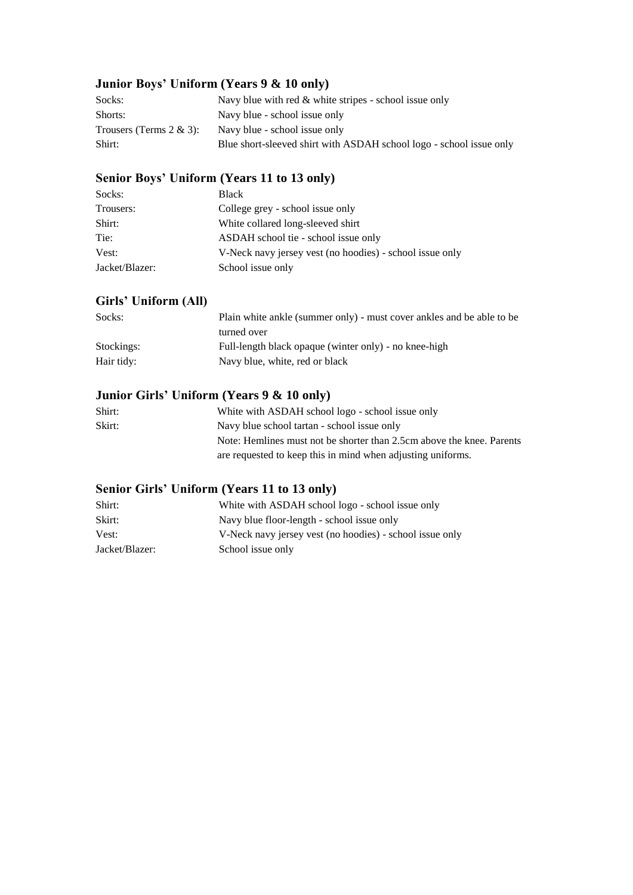## **Junior Boys' Uniform (Years 9 & 10 only)**

| Socks:                      | Navy blue with red $\&$ white stripes - school issue only           |
|-----------------------------|---------------------------------------------------------------------|
| Shorts:                     | Navy blue - school issue only                                       |
| Trousers (Terms $2 \& 3$ ): | Navy blue - school issue only                                       |
| Shirt:                      | Blue short-sleeved shirt with ASDAH school logo - school issue only |

## **Senior Boys' Uniform (Years 11 to 13 only)**

| Socks:         | Black                                                    |
|----------------|----------------------------------------------------------|
| Trousers:      | College grey - school issue only                         |
| Shirt:         | White collared long-sleeved shirt                        |
| Tie:           | ASDAH school tie - school issue only                     |
| Vest:          | V-Neck navy jersey vest (no hoodies) - school issue only |
| Jacket/Blazer: | School issue only                                        |

## **Girls' Uniform (All)**

| Socks:     | Plain white ankle (summer only) - must cover ankles and be able to be |
|------------|-----------------------------------------------------------------------|
|            | turned over                                                           |
| Stockings: | Full-length black opaque (winter only) - no knee-high                 |
| Hair tidy: | Navy blue, white, red or black                                        |

## **Junior Girls' Uniform (Years 9 & 10 only)**

| White with ASDAH school logo - school issue only                      |
|-----------------------------------------------------------------------|
| Navy blue school tartan - school issue only                           |
| Note: Hemlines must not be shorter than 2.5cm above the knee. Parents |
| are requested to keep this in mind when adjusting uniforms.           |
|                                                                       |

## **Senior Girls' Uniform (Years 11 to 13 only)**

| Shirt:         | White with ASDAH school logo - school issue only         |
|----------------|----------------------------------------------------------|
| Skirt:         | Navy blue floor-length - school issue only               |
| Vest:          | V-Neck navy jersey vest (no hoodies) - school issue only |
| Jacket/Blazer: | School issue only                                        |